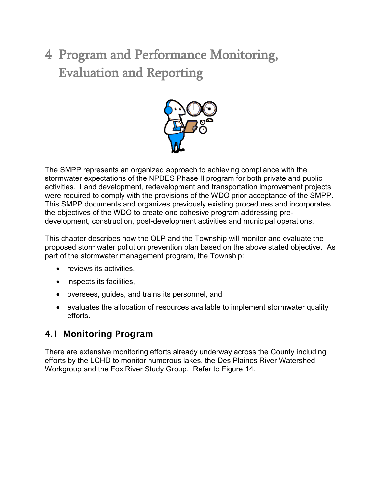# 4 Program and Performance Monitoring, Evaluation and Reporting



The SMPP represents an organized approach to achieving compliance with the stormwater expectations of the NPDES Phase II program for both private and public activities. Land development, redevelopment and transportation improvement projects were required to comply with the provisions of the WDO prior acceptance of the SMPP. This SMPP documents and organizes previously existing procedures and incorporates the objectives of the WDO to create one cohesive program addressing predevelopment, construction, post-development activities and municipal operations.

This chapter describes how the QLP and the Township will monitor and evaluate the proposed stormwater pollution prevention plan based on the above stated objective. As part of the stormwater management program, the Township:

- reviews its activities,
- inspects its facilities,
- oversees, guides, and trains its personnel, and
- evaluates the allocation of resources available to implement stormwater quality efforts.

#### 4.1 Monitoring Program

There are extensive monitoring efforts already underway across the County including efforts by the LCHD to monitor numerous lakes, the Des Plaines River Watershed Workgroup and the Fox River Study Group. Refer to Figure 14.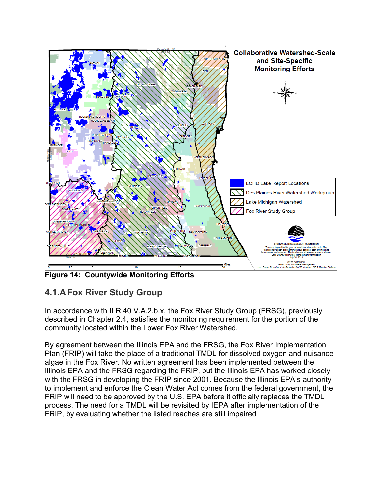

**Figure 14: Countywide Monitoring Efforts**

# **4.1.A Fox River Study Group**

In accordance with ILR 40 V.A.2.b.x, the Fox River Study Group (FRSG), previously described in Chapter 2.4, satisfies the monitoring requirement for the portion of the community located within the Lower Fox River Watershed.

By agreement between the Illinois EPA and the FRSG, the Fox River Implementation Plan (FRIP) will take the place of a traditional TMDL for dissolved oxygen and nuisance algae in the Fox River. No written agreement has been implemented between the Illinois EPA and the FRSG regarding the FRIP, but the Illinois EPA has worked closely with the FRSG in developing the FRIP since 2001. Because the Illinois EPA's authority to implement and enforce the Clean Water Act comes from the federal government, the FRIP will need to be approved by the U.S. EPA before it officially replaces the TMDL process. The need for a TMDL will be revisited by IEPA after implementation of the FRIP, by evaluating whether the listed reaches are still impaired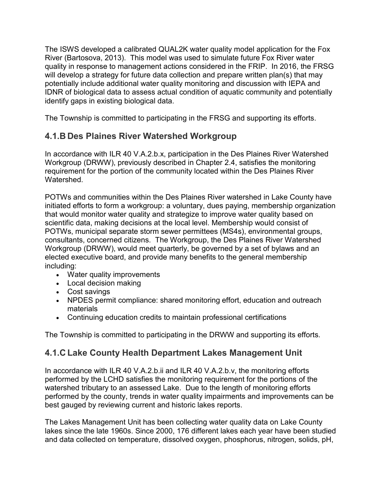The ISWS developed a calibrated QUAL2K water quality model application for the Fox River (Bartosova, 2013). This model was used to simulate future Fox River water quality in response to management actions considered in the FRIP. In 2016, the FRSG will develop a strategy for future data collection and prepare written plan(s) that may potentially include additional water quality monitoring and discussion with IEPA and IDNR of biological data to assess actual condition of aquatic community and potentially identify gaps in existing biological data.

The Township is committed to participating in the FRSG and supporting its efforts.

### **4.1.B Des Plaines River Watershed Workgroup**

In accordance with ILR 40 V.A.2.b.x, participation in the Des Plaines River Watershed Workgroup (DRWW), previously described in Chapter 2.4, satisfies the monitoring requirement for the portion of the community located within the Des Plaines River **Watershed.** 

POTWs and communities within the Des Plaines River watershed in Lake County have initiated efforts to form a workgroup: a voluntary, dues paying, membership organization that would monitor water quality and strategize to improve water quality based on scientific data, making decisions at the local level. Membership would consist of POTWs, municipal separate storm sewer permittees (MS4s), environmental groups, consultants, concerned citizens. The Workgroup, the Des Plaines River Watershed Workgroup (DRWW), would meet quarterly, be governed by a set of bylaws and an elected executive board, and provide many benefits to the general membership including:

- Water quality improvements
- Local decision making
- Cost savings
- NPDES permit compliance: shared monitoring effort, education and outreach materials
- Continuing education credits to maintain professional certifications

The Township is committed to participating in the DRWW and supporting its efforts.

#### **4.1.C Lake County Health Department Lakes Management Unit**

In accordance with ILR 40 V.A.2.b.ii and ILR 40 V.A.2.b.v, the monitoring efforts performed by the LCHD satisfies the monitoring requirement for the portions of the watershed tributary to an assessed Lake. Due to the length of monitoring efforts performed by the county, trends in water quality impairments and improvements can be best gauged by reviewing current and historic lakes reports.

The Lakes Management Unit has been collecting water quality data on Lake County lakes since the late 1960s. Since 2000, 176 different lakes each year have been studied and data collected on temperature, dissolved oxygen, phosphorus, nitrogen, solids, pH,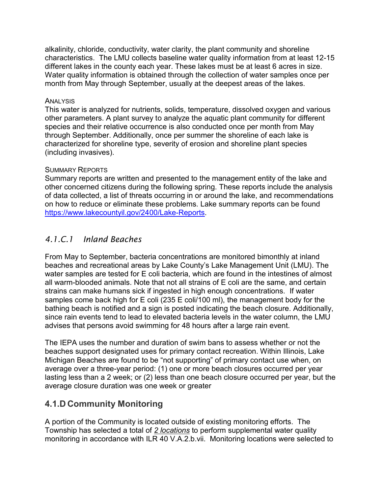alkalinity, chloride, conductivity, water clarity, the plant community and shoreline characteristics. The LMU collects baseline water quality information from at least 12-15 different lakes in the county each year. These lakes must be at least 6 acres in size. Water quality information is obtained through the collection of water samples once per month from May through September, usually at the deepest areas of the lakes.

#### **ANALYSIS**

This water is analyzed for nutrients, solids, temperature, dissolved oxygen and various other parameters. A plant survey to analyze the aquatic plant community for different species and their relative occurrence is also conducted once per month from May through September. Additionally, once per summer the shoreline of each lake is characterized for shoreline type, severity of erosion and shoreline plant species (including invasives).

#### SUMMARY REPORTS

Summary reports are written and presented to the management entity of the lake and other concerned citizens during the following spring. These reports include the analysis of data collected, a list of threats occurring in or around the lake, and recommendations on how to reduce or eliminate these problems. Lake summary reports can be found [https://www.lakecountyil.gov/2400/Lake-Reports.](https://www.lakecountyil.gov/2400/Lake-Reports)

#### *4.1.C.1 Inland Beaches*

From May to September, bacteria concentrations are monitored bimonthly at inland beaches and recreational areas by Lake County's Lake Management Unit (LMU). The water samples are tested for E coli bacteria, which are found in the intestines of almost all warm-blooded animals. Note that not all strains of E coli are the same, and certain strains can make humans sick if ingested in high enough concentrations. If water samples come back high for E coli (235 E coli/100 ml), the management body for the bathing beach is notified and a sign is posted indicating the beach closure. Additionally, since rain events tend to lead to elevated bacteria levels in the water column, the LMU advises that persons avoid swimming for 48 hours after a large rain event.

The IEPA uses the number and duration of swim bans to assess whether or not the beaches support designated uses for primary contact recreation. Within Illinois, Lake Michigan Beaches are found to be "not supporting" of primary contact use when, on average over a three-year period: (1) one or more beach closures occurred per year lasting less than a 2 week; or (2) less than one beach closure occurred per year, but the average closure duration was one week or greater

## **4.1.D Community Monitoring**

A portion of the Community is located outside of existing monitoring efforts. The Township has selected a total of *2 locations* to perform supplemental water quality monitoring in accordance with ILR 40 V.A.2.b.vii. Monitoring locations were selected to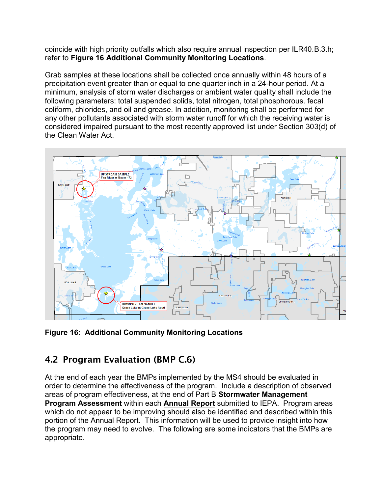coincide with high priority outfalls which also require annual inspection per ILR40.B.3.h; refer to **Figure 16 Additional Community Monitoring Locations**.

Grab samples at these locations shall be collected once annually within 48 hours of a precipitation event greater than or equal to one quarter inch in a 24-hour period. At a minimum, analysis of storm water discharges or ambient water quality shall include the following parameters: total suspended solids, total nitrogen, total phosphorous. fecal coliform, chlorides, and oil and grease. In addition, monitoring shall be performed for any other pollutants associated with storm water runoff for which the receiving water is considered impaired pursuant to the most recently approved list under Section 303(d) of the Clean Water Act.



**Figure 16: Additional Community Monitoring Locations** 

# 4.2 Program Evaluation (BMP C.6)

At the end of each year the BMPs implemented by the MS4 should be evaluated in order to determine the effectiveness of the program. Include a description of observed areas of program effectiveness, at the end of Part B **Stormwater Management Program Assessment** within each **Annual Report** submitted to IEPA. Program areas which do not appear to be improving should also be identified and described within this portion of the Annual Report. This information will be used to provide insight into how the program may need to evolve. The following are some indicators that the BMPs are appropriate.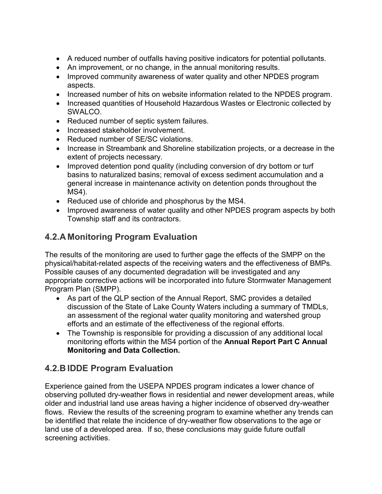- A reduced number of outfalls having positive indicators for potential pollutants.
- An improvement, or no change, in the annual monitoring results.
- Improved community awareness of water quality and other NPDES program aspects.
- Increased number of hits on website information related to the NPDES program.
- Increased quantities of Household Hazardous Wastes or Electronic collected by SWALCO.
- Reduced number of septic system failures.
- Increased stakeholder involvement.
- Reduced number of SE/SC violations.
- Increase in Streambank and Shoreline stabilization projects, or a decrease in the extent of projects necessary.
- Improved detention pond quality (including conversion of dry bottom or turf basins to naturalized basins; removal of excess sediment accumulation and a general increase in maintenance activity on detention ponds throughout the MS4).
- Reduced use of chloride and phosphorus by the MS4.
- Improved awareness of water quality and other NPDES program aspects by both Township staff and its contractors.

#### **4.2.A Monitoring Program Evaluation**

The results of the monitoring are used to further gage the effects of the SMPP on the physical/habitat-related aspects of the receiving waters and the effectiveness of BMPs. Possible causes of any documented degradation will be investigated and any appropriate corrective actions will be incorporated into future Stormwater Management Program Plan (SMPP).

- As part of the QLP section of the Annual Report, SMC provides a detailed discussion of the State of Lake County Waters including a summary of TMDLs, an assessment of the regional water quality monitoring and watershed group efforts and an estimate of the effectiveness of the regional efforts.
- The Township is responsible for providing a discussion of any additional local monitoring efforts within the MS4 portion of the **Annual Report Part C Annual Monitoring and Data Collection.**

#### **4.2.B IDDE Program Evaluation**

Experience gained from the USEPA NPDES program indicates a lower chance of observing polluted dry-weather flows in residential and newer development areas, while older and industrial land use areas having a higher incidence of observed dry-weather flows. Review the results of the screening program to examine whether any trends can be identified that relate the incidence of dry-weather flow observations to the age or land use of a developed area. If so, these conclusions may guide future outfall screening activities.